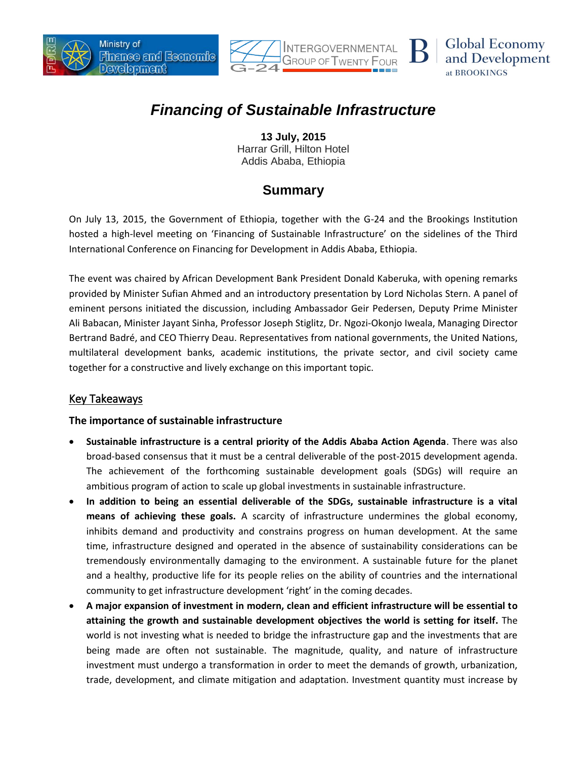





# *Financing of Sustainable Infrastructure*

**13 July, 2015** Harrar Grill, Hilton Hotel Addis Ababa, Ethiopia

## **Summary**

On July 13, 2015, the Government of Ethiopia, together with the G-24 and the Brookings Institution hosted a high-level meeting on 'Financing of Sustainable Infrastructure' on the sidelines of the Third International Conference on Financing for Development in Addis Ababa, Ethiopia.

The event was chaired by African Development Bank President Donald Kaberuka, with opening remarks provided by Minister Sufian Ahmed and an introductory presentation by Lord Nicholas Stern. A panel of eminent persons initiated the discussion, including Ambassador Geir Pedersen, Deputy Prime Minister Ali Babacan, Minister Jayant Sinha, Professor Joseph Stiglitz, Dr. Ngozi-Okonjo Iweala, Managing Director Bertrand Badré, and CEO Thierry Deau. Representatives from national governments, the United Nations, multilateral development banks, academic institutions, the private sector, and civil society came together for a constructive and lively exchange on this important topic.

### Key Takeaways

#### **The importance of sustainable infrastructure**

- **Sustainable infrastructure is a central priority of the Addis Ababa Action Agenda**. There was also broad-based consensus that it must be a central deliverable of the post-2015 development agenda. The achievement of the forthcoming sustainable development goals (SDGs) will require an ambitious program of action to scale up global investments in sustainable infrastructure.
- **In addition to being an essential deliverable of the SDGs, sustainable infrastructure is a vital means of achieving these goals.** A scarcity of infrastructure undermines the global economy, inhibits demand and productivity and constrains progress on human development. At the same time, infrastructure designed and operated in the absence of sustainability considerations can be tremendously environmentally damaging to the environment. A sustainable future for the planet and a healthy, productive life for its people relies on the ability of countries and the international community to get infrastructure development 'right' in the coming decades.
- **A major expansion of investment in modern, clean and efficient infrastructure will be essential to attaining the growth and sustainable development objectives the world is setting for itself.** The world is not investing what is needed to bridge the infrastructure gap and the investments that are being made are often not sustainable. The magnitude, quality, and nature of infrastructure investment must undergo a transformation in order to meet the demands of growth, urbanization, trade, development, and climate mitigation and adaptation. Investment quantity must increase by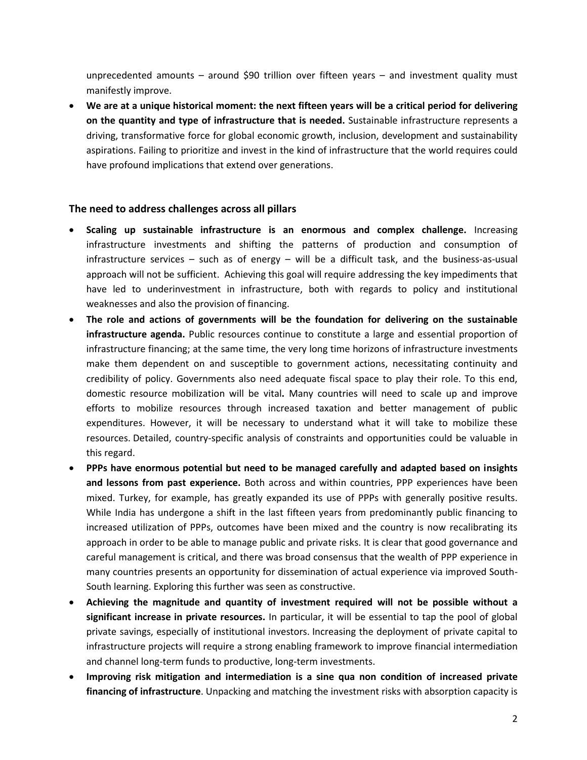unprecedented amounts – around \$90 trillion over fifteen years – and investment quality must manifestly improve.

 **We are at a unique historical moment: the next fifteen years will be a critical period for delivering on the quantity and type of infrastructure that is needed.** Sustainable infrastructure represents a driving, transformative force for global economic growth, inclusion, development and sustainability aspirations. Failing to prioritize and invest in the kind of infrastructure that the world requires could have profound implications that extend over generations.

#### **The need to address challenges across all pillars**

- **Scaling up sustainable infrastructure is an enormous and complex challenge.** Increasing infrastructure investments and shifting the patterns of production and consumption of infrastructure services – such as of energy – will be a difficult task, and the business-as-usual approach will not be sufficient. Achieving this goal will require addressing the key impediments that have led to underinvestment in infrastructure, both with regards to policy and institutional weaknesses and also the provision of financing.
- **The role and actions of governments will be the foundation for delivering on the sustainable infrastructure agenda.** Public resources continue to constitute a large and essential proportion of infrastructure financing; at the same time, the very long time horizons of infrastructure investments make them dependent on and susceptible to government actions, necessitating continuity and credibility of policy. Governments also need adequate fiscal space to play their role. To this end, domestic resource mobilization will be vital**.** Many countries will need to scale up and improve efforts to mobilize resources through increased taxation and better management of public expenditures. However, it will be necessary to understand what it will take to mobilize these resources. Detailed, country-specific analysis of constraints and opportunities could be valuable in this regard.
- **PPPs have enormous potential but need to be managed carefully and adapted based on insights and lessons from past experience.** Both across and within countries, PPP experiences have been mixed. Turkey, for example, has greatly expanded its use of PPPs with generally positive results. While India has undergone a shift in the last fifteen years from predominantly public financing to increased utilization of PPPs, outcomes have been mixed and the country is now recalibrating its approach in order to be able to manage public and private risks. It is clear that good governance and careful management is critical, and there was broad consensus that the wealth of PPP experience in many countries presents an opportunity for dissemination of actual experience via improved South-South learning. Exploring this further was seen as constructive.
- **Achieving the magnitude and quantity of investment required will not be possible without a significant increase in private resources.** In particular, it will be essential to tap the pool of global private savings, especially of institutional investors. Increasing the deployment of private capital to infrastructure projects will require a strong enabling framework to improve financial intermediation and channel long-term funds to productive, long-term investments.
- **Improving risk mitigation and intermediation is a sine qua non condition of increased private financing of infrastructure**. Unpacking and matching the investment risks with absorption capacity is